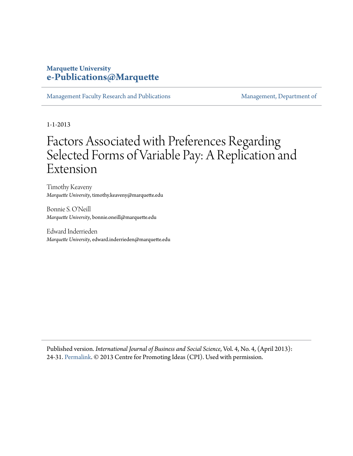# **Marquette University [e-Publications@Marquette](https://epublications.marquette.edu)**

[Management Faculty Research and Publications](https://epublications.marquette.edu/mgmt_fac) [Management, Department of](https://epublications.marquette.edu/mgmt)

1-1-2013

# Factors Associated with Preferences Regarding Selected Forms of Variable Pay: A Replication and Extension

Timothy Keaveny *Marquette University*, timothy.keaveny@marquette.edu

Bonnie S. O'Neill *Marquette University*, bonnie.oneill@marquette.edu

Edward Inderrieden *Marquette University*, edward.inderrieden@marquette.edu

Published version. *International Journal of Business and Social Science*, Vol. 4, No. 4, (April 2013): 24-31. [Permalink.](http://www.ijbssnet.com/journal/index/1848) © 2013 Centre for Promoting Ideas (CPI). Used with permission.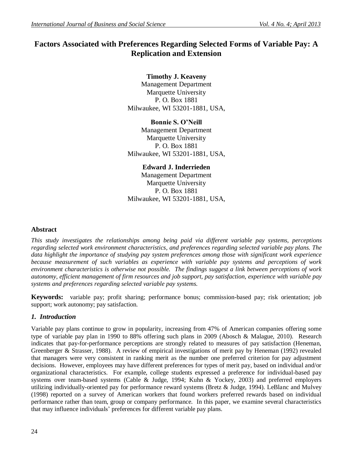# **Factors Associated with Preferences Regarding Selected Forms of Variable Pay: A Replication and Extension**

# **Timothy J. Keaveny**

Management Department Marquette University P. O. Box 1881 Milwaukee, WI 53201-1881, USA,

**Bonnie S. O'Neill** Management Department Marquette University P. O. Box 1881 Milwaukee, WI 53201-1881, USA,

> **Edward J. Inderrieden** Management Department

Marquette University P. O. Box 1881 Milwaukee, WI 53201-1881, USA,

# **Abstract**

*This study investigates the relationships among being paid via different variable pay systems, perceptions regarding selected work environment characteristics, and preferences regarding selected variable pay plans. The data highlight the importance of studying pay system preferences among those with significant work experience because measurement of such variables as experience with variable pay systems and perceptions of work environment characteristics is otherwise not possible. The findings suggest a link between perceptions of work autonomy, efficient management of firm resources and job support, pay satisfaction, experience with variable pay systems and preferences regarding selected variable pay systems.* 

**Keywords:** variable pay; profit sharing; performance bonus; commission-based pay; risk orientation; job support; work autonomy; pay satisfaction.

# *1. Introduction*

Variable pay plans continue to grow in popularity, increasing from 47% of American companies offering some type of variable pay plan in 1990 to 88% offering such plans in 2009 (Abosch & Malague, 2010). Research indicates that pay-for-performance perceptions are strongly related to measures of pay satisfaction (Heneman, Greenberger & Strasser, 1988). A review of empirical investigations of merit pay by Heneman (1992) revealed that managers were very consistent in ranking merit as the number one preferred criterion for pay adjustment decisions. However, employees may have different preferences for types of merit pay, based on individual and/or organizational characteristics. For example, college students expressed a preference for individual-based pay systems over team-based systems (Cable & Judge, 1994; Kuhn & Yockey, 2003) and preferred employers utilizing individually-oriented pay for performance reward systems (Bretz & Judge, 1994). LeBlanc and Mulvey (1998) reported on a survey of American workers that found workers preferred rewards based on individual performance rather than team, group or company performance. In this paper, we examine several characteristics that may influence individuals' preferences for different variable pay plans.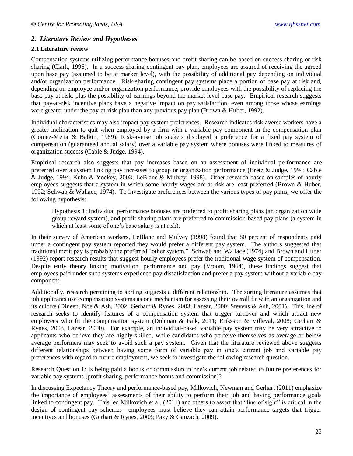## *2. Literature Review and Hypotheses*

#### **2.1 Literature review**

Compensation systems utilizing performance bonuses and profit sharing can be based on success sharing or risk sharing (Clark, 1996). In a success sharing contingent pay plan, employees are assured of receiving the agreed upon base pay (assumed to be at market level), with the possibility of additional pay depending on individual and/or organization performance. Risk sharing contingent pay systems place a portion of base pay at risk and, depending on employee and/or organization performance, provide employees with the possibility of replacing the base pay at risk, plus the possibility of earnings beyond the market level base pay.Empirical research suggests that pay-at-risk incentive plans have a negative impact on pay satisfaction, even among those whose earnings were greater under the pay-at-risk plan than any previous pay plan (Brown & Huber, 1992).

Individual characteristics may also impact pay system preferences. Research indicates risk-averse workers have a greater inclination to quit when employed by a firm with a variable pay component in the compensation plan (Gomez-Mejia & Balkin, 1989). Risk-averse job seekers displayed a preference for a fixed pay system of compensation (guaranteed annual salary) over a variable pay system where bonuses were linked to measures of organization success (Cable & Judge, 1994).

Empirical research also suggests that pay increases based on an assessment of individual performance are preferred over a system linking pay increases to group or organization performance (Bretz & Judge, 1994; Cable & Judge, 1994; Kuhn & Yockey, 2003; LeBlanc & Mulvey, 1998). Other research based on samples of hourly employees suggests that a system in which some hourly wages are at risk are least preferred (Brown & Huber, 1992; Schwab & Wallace, 1974). To investigate preferences between the various types of pay plans, we offer the following hypothesis:

Hypothesis 1: Individual performance bonuses are preferred to profit sharing plans (an organization wide group reward system), and profit sharing plans are preferred to commission-based pay plans (a system in which at least some of one's base salary is at risk).

In their survey of American workers, LeBlanc and Mulvey (1998) found that 80 percent of respondents paid under a contingent pay system reported they would prefer a different pay system. The authors suggested that traditional merit pay is probably the preferred "other system." Schwab and Wallace (1974) and Brown and Huber (1992) report research results that suggest hourly employees prefer the traditional wage system of compensation. Despite early theory linking motivation, performance and pay (Vroom, 1964), these findings suggest that employees paid under such systems experience pay dissatisfaction and prefer a pay system without a variable pay component.

Additionally, research pertaining to sorting suggests a different relationship. The sorting literature assumes that job applicants use compensation systems as one mechanism for assessing their overall fit with an organization and its culture (Dineen, Noe & Ash, 2002; Gerhart & Rynes, 2003; Lazear, 2000; Stevens & Ash, 2001). This line of research seeks to identify features of a compensation system that trigger turnover and which attract new employees who fit the compensation system (Dohman & Falk, 2011; Eriksson & Villeval, 2008; Gerhart & Rynes, 2003, Lazear, 2000). For example, an individual-based variable pay system may be very attractive to applicants who believe they are highly skilled, while candidates who perceive themselves as average or below average performers may seek to avoid such a pay system.Given that the literature reviewed above suggests different relationships between having some form of variable pay in one's current job and variable pay preferences with regard to future employment, we seek to investigate the following research question.

Research Question 1: Is being paid a bonus or commission in one's current job related to future preferences for variable pay systems (profit sharing, performance bonus and commission)?

In discussing Expectancy Theory and performance-based pay, Milkovich, Newman and Gerhart (2011) emphasize the importance of employees' assessments of their ability to perform their job and having performance goals linked to contingent pay. This led Milkovich et al. (2011) and others to assert that "line of sight" is critical in the design of contingent pay schemes—employees must believe they can attain performance targets that trigger incentives and bonuses (Gerhart & Rynes, 2003; Pazy & Ganzach, 2009).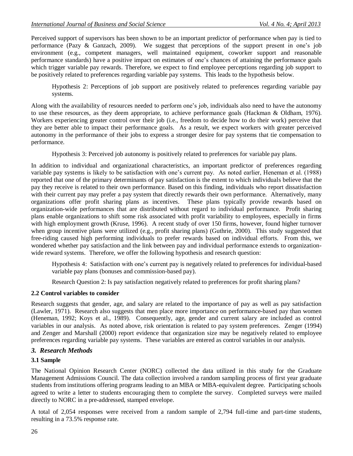Perceived support of supervisors has been shown to be an important predictor of performance when pay is tied to performance (Pazy & Ganzach, 2009). We suggest that perceptions of the support present in one's job environment (e.g., competent managers, well maintained equipment, coworker support and reasonable performance standards) have a positive impact on estimates of one's chances of attaining the performance goals which trigger variable pay rewards. Therefore, we expect to find employee perceptions regarding job support to be positively related to preferences regarding variable pay systems. This leads to the hypothesis below.

Hypothesis 2: Perceptions of job support are positively related to preferences regarding variable pay systems.

Along with the availability of resources needed to perform one's job, individuals also need to have the autonomy to use these resources, as they deem appropriate, to achieve performance goals (Hackman & Oldham, 1976). Workers experiencing greater control over their job (i.e., freedom to decide how to do their work) perceive that they are better able to impact their performance goals. As a result, we expect workers with greater perceived autonomy in the performance of their jobs to express a stronger desire for pay systems that tie compensation to performance.

Hypothesis 3: Perceived job autonomy is positively related to preferences for variable pay plans.

In addition to individual and organizational characteristics, an important predictor of preferences regarding variable pay systems is likely to be satisfaction with one's current pay. As noted earlier, Heneman et al. (1988) reported that one of the primary determinants of pay satisfaction is the extent to which individuals believe that the pay they receive is related to their own performance. Based on this finding, individuals who report dissatisfaction with their current pay may prefer a pay system that directly rewards their own performance. Alternatively, many organizations offer profit sharing plans as incentives. These plans typically provide rewards based on organization-wide performances that are distributed without regard to individual performance. Profit sharing plans enable organizations to shift some risk associated with profit variability to employees, especially in firms with high employment growth (Kruse, 1996). A recent study of over 150 firms, however, found higher turnover when group incentive plans were utilized (e.g., profit sharing plans) (Guthrie, 2000). This study suggested that free-riding caused high performing individuals to prefer rewards based on individual efforts. From this, we wondered whether pay satisfaction and the link between pay and individual performance extends to organizationwide reward systems. Therefore, we offer the following hypothesis and research question:

Hypothesis 4: Satisfaction with one's current pay is negatively related to preferences for individual-based variable pay plans (bonuses and commission-based pay).

Research Question 2: Is pay satisfaction negatively related to preferences for profit sharing plans?

## **2.2 Control variables to consider**

Research suggests that gender, age, and salary are related to the importance of pay as well as pay satisfaction (Lawler, 1971). Research also suggests that men place more importance on performance-based pay than women (Heneman, 1992; Koys et al., 1989). Consequently, age, gender and current salary are included as control variables in our analysis. As noted above, risk orientation is related to pay system preferences. Zenger (1994) and Zenger and Marshall (2000) report evidence that organization size may be negatively related to employee preferences regarding variable pay systems. These variables are entered as control variables in our analysis.

## *3. Research Methods*

#### **3.1 Sample**

The National Opinion Research Center (NORC) collected the data utilized in this study for the Graduate Management Admissions Council. The data collection involved a random sampling process of first year graduate students from institutions offering programs leading to an MBA or MBA-equivalent degree. Participating schools agreed to write a letter to students encouraging them to complete the survey. Completed surveys were mailed directly to NORC in a pre-addressed, stamped envelope.

A total of 2,054 responses were received from a random sample of 2,794 full-time and part-time students, resulting in a 73.5% response rate.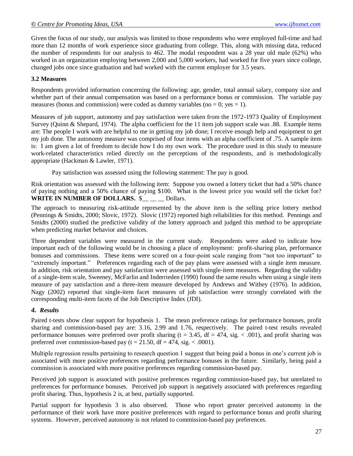Given the focus of our study, our analysis was limited to those respondents who were employed full-time and had more than 12 months of work experience since graduating from college. This, along with missing data, reduced the number of respondents for our analysis to 462. The modal respondent was a 28 year old male (62%) who worked in an organization employing between 2,000 and 5,000 workers, had worked for five years since college, changed jobs once since graduation and had worked with the current employer for 3.5 years.

#### **3.2 Measures**

Respondents provided information concerning the following: age, gender, total annual salary, company size and whether part of their annual compensation was based on a performance bonus or commission.The variable pay measures (bonus and commission) were coded as dummy variables (no = 0; yes = 1).

Measures of job support, autonomy and pay satisfaction were taken from the 1972-1973 Quality of Employment Survey (Quinn & Shepard, 1974). The alpha coefficient for the 11 item job support scale was .88. Example items are: The people I work with are helpful to me in getting my job done; I receive enough help and equipment to get my job done. The autonomy measure was comprised of four items with an alpha coefficient of .75. A sample item is: I am given a lot of freedom to decide how I do my own work. The procedure used in this study to measure work-related characteristics relied directly on the perceptions of the respondents, and is methodologically appropriate (Hackman & Lawler, 1971).

Pay satisfaction was assessed using the following statement: The pay is good.

Risk orientation was assessed with the following item: Suppose you owned a lottery ticket that had a 50% chance of paying nothing and a 50% chance of paying \$100. What is the lowest price you would sell the ticket for? WRITE IN NUMBER OF DOLLARS. **\$** Dollars.

The approach to measuring risk-attitude represented by the above item is the selling price lottery method (Pennings & Smidts, 2000; Slovic, 1972). Slovic (1972) reported high reliabilities for this method. Pennings and Smidts (2000) studied the predictive validity of the lottery approach and judged this method to be appropriate when predicting market behavior and choices.

Three dependent variables were measured in the current study. Respondents were asked to indicate how important each of the following would be in choosing a place of employment: profit-sharing plan, performance bonuses and commissions. These items were scored on a four-point scale ranging from "not too important" to "extremely important." Preferences regarding each of the pay plans were assessed with a single item measure. In addition, risk orientation and pay satisfaction were assessed with single-item measures. Regarding the validity of a single-item scale, Sweeney, McFarlin and Inderrieden (1990) found the same results when using a single item measure of pay satisfaction and a three-item measure developed by Andrews and Withey (1976). In addition, Nagy (2002) reported that single-item facet measures of job satisfaction were strongly correlated with the corresponding multi-item facets of the Job Descriptive Index (JDI).

#### *4. Results*

Paired t-tests show clear support for hypothesis 1. The mean preference ratings for performance bonuses, profit sharing and commission-based pay are: 3.16, 2.99 and 1.76, respectively. The paired t-test results revealed performance bonuses were preferred over profit sharing ( $t = 3.45$ ,  $df = 474$ , sig. < .001), and profit sharing was preferred over commission-based pay (t =  $21.50$ , df =  $474$ , sig. < .0001).

Multiple regression results pertaining to research question 1 suggest that being paid a bonus in one's current job is associated with more positive preferences regarding performance bonuses in the future. Similarly, being paid a commission is associated with more positive preferences regarding commission-based pay.

Perceived job support is associated with positive preferences regarding commission-based pay, but unrelated to preferences for performance bonuses. Perceived job support is negatively associated with preferences regarding profit sharing. Thus, hypothesis 2 is, at best, partially supported.

Partial support for hypothesis 3 is also observed. Those who report greater perceived autonomy in the performance of their work have more positive preferences with regard to performance bonus and profit sharing systems. However, perceived autonomy is not related to commission-based pay preferences.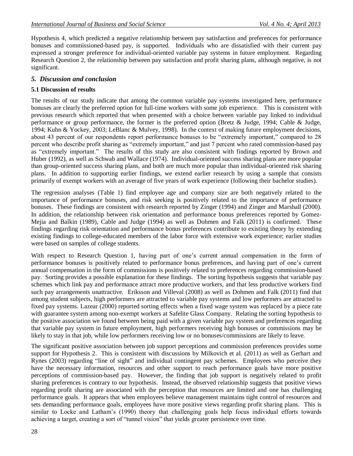Hypothesis 4, which predicted a negative relationship between pay satisfaction and preferences for performance bonuses and commissioned-based pay, is supported. Individuals who are dissatisfied with their current pay expressed a stronger preference for individual-oriented variable pay systems in future employment. Regarding Research Question 2, the relationship between pay satisfaction and profit sharing plans, although negative, is not significant.

## *5. Discussion and conclusion*

#### **5.1 Discussion of results**

The results of our study indicate that among the common variable pay systems investigated here, performance bonuses are clearly the preferred option for full-time workers with some job experience. This is consistent with previous research which reported that when presented with a choice between variable pay linked to individual performance or group performance, the former is the preferred option (Bretz & Judge, 1994; Cable & Judge, 1994; Kuhn & Yockey, 2003; LeBlanc & Mulvey, 1998). In the context of making future employment decisions, about 43 percent of our respondents report performance bonuses to be "extremely important," compared to 28 percent who describe profit sharing as "extremely important," and just 7 percent who rated commission-based pay as "extremely important." The results of this study are also consistent with findings reported by Brown and Huber (1992), as well as Schwab and Wallace (1974). Individual-oriented success sharing plans are more popular than group-oriented success sharing plans, and both are much more popular than individual-oriented risk sharing plans. In addition to supporting earlier findings, we extend earlier research by using a sample that consists primarily of exempt workers with an average of five years of work experience (following their bachelor studies).

The regression analyses (Table 1) find employee age and company size are both negatively related to the importance of performance bonuses, and risk seeking is positively related to the importance of performance bonuses. These findings are consistent with research reported by Zinger (1994) and Zinger and Marshall (2000). In addition, the relationship between risk orientation and performance bonus preferences reported by Gomez-Mejia and Balkin (1989), Cable and Judge (1994) as well as Dohmen and Falk (2011) is confirmed. These findings regarding risk orientation and performance bonus preferences contribute to existing theory by extending existing findings to college-educated members of the labor force with extensive work experience; earlier studies were based on samples of college students.

With respect to Research Question 1, having part of one's current annual compensation in the form of performance bonuses is positively related to performance bonus preferences, and having part of one's current annual compensation in the form of commissions is positively related to preferences regarding commission-based pay. Sorting provides a possible explanation for these findings. The sorting hypothesis suggests that variable pay schemes which link pay and performance attract more productive workers, and that less productive workers find such pay arrangements unattractive. Eriksson and Villeval (2008) as well as Dohmen and Falk (2011) find that among student subjects, high performers are attracted to variable pay systems and low performers are attracted to fixed pay systems. Lazear (2000) reported sorting effects when a fixed wage system was replaced by a piece rate with guarantee system among non-exempt workers at Safelite Glass Company. Relating the sorting hypothesis to the positive association we found between being paid with a given variable pay system and preferences regarding that variable pay system in future employment, high performers receiving high bonuses or commissions may be likely to stay in that job, while low performers receiving low or no bonuses/commissions are likely to leave.

The significant positive association between job support perceptions and commission preferences provides some support for Hypothesis 2. This is consistent with discussions by Milkovich et al. (2011) as well as Gerhart and Rynes (2003) regarding "line of sight" and individual contingent pay schemes. Employees who perceive they have the necessary information, resources and other support to reach performance goals have more positive perceptions of commission-based pay. However, the finding that job support is negatively related to profit sharing preferences is contrary to our hypothesis. Instead, the observed relationship suggests that positive views regarding profit sharing are associated with the perception that resources are limited and one has challenging performance goals. It appears that when employees believe management maintains tight control of resources and sets demanding performance goals, employees have more positive views regarding profit sharing plans. This is similar to Locke and Latham's (1990) theory that challenging goals help focus individual efforts towards achieving a target, creating a sort of "tunnel vision" that yields greater persistence over time.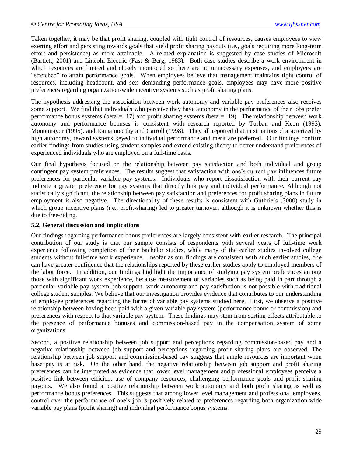Taken together, it may be that profit sharing, coupled with tight control of resources, causes employees to view exerting effort and persisting towards goals that yield profit sharing payouts (i.e., goals requiring more long-term effort and persistence) as more attainable. A related explanation is suggested by case studies of Microsoft (Bartlett, 2001) and Lincoln Electric (Fast & Berg, 1983). Both case studies describe a work environment in which resources are limited and closely monitored so there are no unnecessary expenses, and employees are "stretched" to attain performance goals. When employees believe that management maintains tight control of resources, including headcount, and sets demanding performance goals, employees may have more positive preferences regarding organization-wide incentive systems such as profit sharing plans.

The hypothesis addressing the association between work autonomy and variable pay preferences also receives some support. We find that individuals who perceive they have autonomy in the performance of their jobs prefer performance bonus systems (beta = .17) and profit sharing systems (beta = .19). The relationship between work autonomy and performance bonuses is consistent with research reported by Turban and Keon (1993), Montemayor (1995), and Ramamoorthy and Carroll (1998). They all reported that in situations characterized by high autonomy, reward systems keyed to individual performance and merit are preferred. Our findings confirm earlier findings from studies using student samples and extend existing theory to better understand preferences of experienced individuals who are employed on a full-time basis.

Our final hypothesis focused on the relationship between pay satisfaction and both individual and group contingent pay system preferences. The results suggest that satisfaction with one's current pay influences future preferences for particular variable pay systems. Individuals who report dissatisfaction with their current pay indicate a greater preference for pay systems that directly link pay and individual performance. Although not statistically significant, the relationship between pay satisfaction and preferences for profit sharing plans in future employment is also negative. The directionality of these results is consistent with Guthrie's (2000) study in which group incentive plans (i.e., profit-sharing) led to greater turnover, although it is unknown whether this is due to free-riding.

#### **5.2. General discussion and implications**

Our findings regarding performance bonus preferences are largely consistent with earlier research. The principal contribution of our study is that our sample consists of respondents with several years of full-time work experience following completion of their bachelor studies, while many of the earlier studies involved college students without full-time work experience. Insofar as our findings are consistent with such earlier studies, one can have greater confidence that the relationships reported by these earlier studies apply to employed members of the labor force. In addition, our findings highlight the importance of studying pay system preferences among those with significant work experience, because measurement of variables such as being paid in part through a particular variable pay system, job support, work autonomy and pay satisfaction is not possible with traditional college student samples. We believe that our investigation provides evidence that contributes to our understanding of employee preferences regarding the forms of variable pay systems studied here. First, we observe a positive relationship between having been paid with a given variable pay system (performance bonus or commission) and preferences with respect to that variable pay system. These findings may stem from sorting effects attributable to the presence of performance bonuses and commission-based pay in the compensation system of some organizations.

Second, a positive relationship between job support and perceptions regarding commission-based pay and a negative relationship between job support and perceptions regarding profit sharing plans are observed. The relationship between job support and commission-based pay suggests that ample resources are important when base pay is at risk. On the other hand, the negative relationship between job support and profit sharing preferences can be interpreted as evidence that lower level management and professional employees perceive a positive link between efficient use of company resources, challenging performance goals and profit sharing payouts. We also found a positive relationship between work autonomy and both profit sharing as well as performance bonus preferences. This suggests that among lower level management and professional employees, control over the performance of one's job is positively related to preferences regarding both organization-wide variable pay plans (profit sharing) and individual performance bonus systems.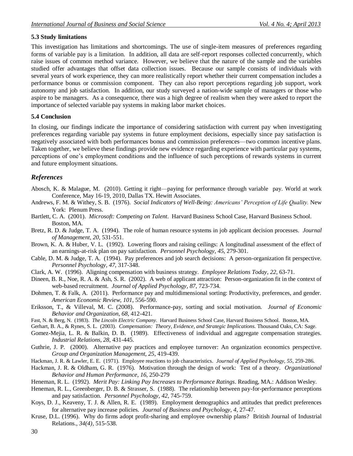#### **5.3 Study limitations**

This investigation has limitations and shortcomings. The use of single-item measures of preferences regarding forms of variable pay is a limitation. In addition, all data are self-report responses collected concurrently, which raise issues of common method variance. However, we believe that the nature of the sample and the variables studied offer advantages that offset data collection issues. Because our sample consists of individuals with several years of work experience, they can more realistically report whether their current compensation includes a performance bonus or commission component. They can also report perceptions regarding job support, work autonomy and job satisfaction. In addition, our study surveyed a nation-wide sample of managers or those who aspire to be managers. As a consequence, there was a high degree of realism when they were asked to report the importance of selected variable pay systems in making labor market choices.

#### **5.4 Conclusion**

In closing, our findings indicate the importance of considering satisfaction with current pay when investigating preferences regarding variable pay systems in future employment decisions, especially since pay satisfaction is negatively associated with both performances bonus and commission preferences—two common incentive plans. Taken together, we believe these findings provide new evidence regarding experience with particular pay systems, perceptions of one's employment conditions and the influence of such perceptions of rewards systems in current and future employment situations.

## *References*

- Abosch, K. & Malague, M. (2010). Getting it right—paying for performance through variable pay. World at work Conference, May 16-19, 2010, Dallas TX. Hewitt Associates.
- Andrews, F. M. & Withey, S. B. (1976). *Social Indicators of Well-Being: Americans' Perception of Life Quality.* New York: Plenum Press.
- Bartlett, C. A. (2001). *Microsoft: Competing on Talent*. Harvard Business School Case, Harvard Business School. Boston, MA.
- Bretz, R. D. & Judge, T. A. (1994). The role of human resource systems in job applicant decision processes. *Journal of Management, 20,* 531-551.
- Brown, K. A. & Huber, V. L. (1992). Lowering floors and raising ceilings: A longitudinal assessment of the effect of an earnings-at-risk plan on pay satisfaction. *Personnel Psychology, 45*, 279-301.
- Cable, D. M. & Judge, T. A. (1994). Pay preferences and job search decisions: A person-organization fit perspective. *Personnel Psychology, 47,* 317-348.
- Clark, A. W. (1996). Aligning compensation with business strategy. *Employee Relations Today*, *22*, 63-71.
- Dineen, B. R., Noe, R. A. & Ash, S. R. (2002). A web of applicant attraction: Person-organization fit in the context of web-based recruitment. *Journal of Applied Psychology, 87*, 723-734.
- Dohmen, T. & Falk, A. (2011). Performance pay and multidimensional sorting: Productivity, preferences, and gender. *American Economic Review*, *101*, 556-590.
- Eriksson, T., & Villeval, M. C. (2008). Performance-pay, sorting and social motivation. *Journal of Economic Behavior and Organization*, *68*, 412-421.
- Fast, N. & Berg, N. (1983). *The Lincoln Electric Company*. Harvard Business School Case, Harvard Business School. Boston, MA.
- Gerhart, B. A., & Rynes, S. L. (2003). *Compensation: Theory, Evidence, and Strategic Implications*. Thousand Oaks, CA: Sage.
- Gomez-Mejia, L. R. & Balkin, D. B. (1989). Effectiveness of individual and aggregate compensation strategies. *Industrial Relations, 28,* 431-445.
- Guthrie, J. P. (2000). Alternative pay practices and employee turnover: An organization economics perspective. *Group and Organization Management, 25*, 419-439.
- Hackman, J. R. & Lawler, E. E. (1971). Employee reactions to job characteristics. *Journal of Applied Psychology, 55*, 259-286.
- Hackman, J. R. & Oldham, G. R. (1976). Motivation through the design of work: Test of a theory. *Organizational Behavior and Human Performance*, *16*, 250-279
- Heneman, R. L. (1992). *Merit Pay: Linking Pay Increases to Performance Ratings*. Reading, MA.: Addison Wesley.
- Heneman, R. L., Greenberger, D. B. & Strasser, S. (1988). The relationship between pay-for-performance perceptions and pay satisfaction. *Personnel Psychology, 42*, 745-759.
- Koys, D. J., Keaveny, T. J. & Allen, R. E. (1989). Employment demographics and attitudes that predict preferences for alternative pay increase policies. *Journal of Business and Psychology, 4*, 27-47.
- Kruse, D.L. (1996). Why do firms adopt profit-sharing and employee ownership plans? British Journal of Industrial Relations., *34(4),* 515-538.